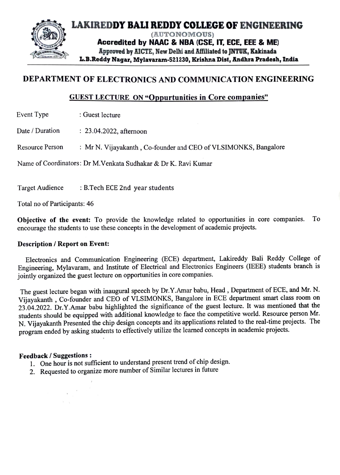

## DEPARTMENT OF ELECTRONICS AND COMMUNICATION ENGINEERING

## GUEST LECTURE ON "Oppurtunities in Core companies"

Event Type : Guest lecture

Date / Duration : 23.04.2022, afternoon

Resource Person : Mr N. Vijayakanth, Co-founder and CEO of VLSIMONKS, Bangalore

Name of Coordinators: Dr M.Venkata Sudhakar & Dr K. Ravi Kumar

Target Audience : B.Tech ECE 2nd year students

Total no of Participants: 46

Objective of the event: To provide the knowledge related to opportunities in core companies. To encourage the students to use these concepts in the development of academic projects.

## Description / Report on Event:

Electronics and Communication Engineering (ECE) department, Lakireddy Bali Reddy College of Engineering, Mylavaram, and Institute of Electrical and Electronics Engineers (TEEE) students branch is jointly organized the guest lecture on opportunities in core companies.

The guest lecture began with inaugural speech by Dr.Y.Amar babu, Head, Department of ECE, and Mr. N. Vijayakanth, Co-founder and CEO of VLSIMONKS, Bangalore in ECE department smart class room on 23.04.2022. Dr.Y.Amar babu highlighted the significance of the guest lecture. It was mentioned that the students should be equipped with additional knowledge to face the competitive world. Resource person Mr. N. Vijayakanth Presented the chip design concepts and its applications related to the real-time projects. The program ended by asking students to effectively utilize the learned concepts in academic projects.

- Feedback / Suggestions :<br>1. One hour is not sufficient to understand present trend of chip design.
	- 2. Requested to organize more number of Similar lectures in future